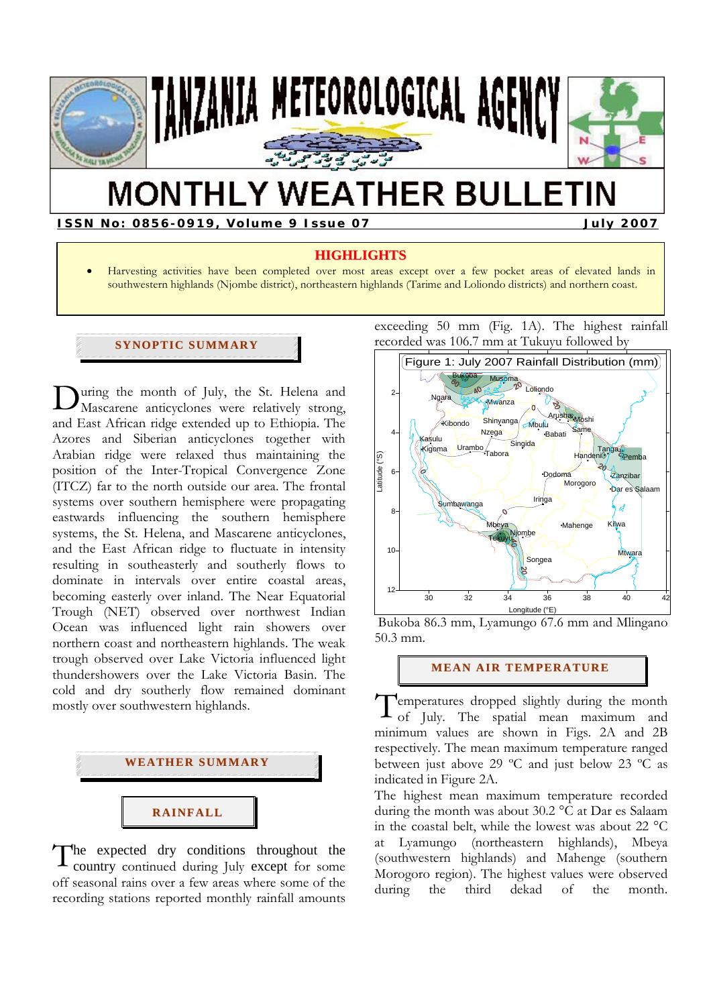

# **MONTHLY WEATHER BULLETIN**

**ISSN No: 0856-0919, Volume 9 Issue 07 July 2007** 

#### **HIGHLIGHTS**

• Harvesting activities have been completed over most areas except over a few pocket areas of elevated lands in southwestern highlands (Njombe district), northeastern highlands (Tarime and Loliondo districts) and northern coast.

# **SYNOPTIC SUMMARY**

During the month of July, the St. Helena and Mascarene anticyclones were relatively strong, Mascarene anticyclones were relatively strong, and East African ridge extended up to Ethiopia. The Azores and Siberian anticyclones together with Arabian ridge were relaxed thus maintaining the position of the Inter-Tropical Convergence Zone (ITCZ) far to the north outside our area. The frontal systems over southern hemisphere were propagating eastwards influencing the southern hemisphere systems, the St. Helena, and Mascarene anticyclones, and the East African ridge to fluctuate in intensity resulting in southeasterly and southerly flows to dominate in intervals over entire coastal areas, becoming easterly over inland. The Near Equatorial Trough (NET) observed over northwest Indian Ocean was influenced light rain showers over northern coast and northeastern highlands. The weak trough observed over Lake Victoria influenced light thundershowers over the Lake Victoria Basin. The cold and dry southerly flow remained dominant mostly over southwestern highlands.



The expected dry conditions throughout the country continued during July except for some country continued during July except for some off seasonal rains over a few areas where some of the recording stations reported monthly rainfall amounts

exceeding 50 mm (Fig. 1A). The highest rainfall recorded was 106.7 mm at Tukuyu followed by



 Bukoba 86.3 mm, Lyamungo 67.6 mm and Mlingano 50.3 mm.

# **MEAN AIR TEMPERATURE**

emperatures dropped slightly during the month Temperatures dropped slightly during the month<br>of July. The spatial mean maximum and minimum values are shown in Figs. 2A and 2B respectively. The mean maximum temperature ranged between just above 29 ºC and just below 23 ºC as indicated in Figure 2A.

The highest mean maximum temperature recorded during the month was about 30.2 °C at Dar es Salaam in the coastal belt, while the lowest was about 22 °C at Lyamungo (northeastern highlands), Mbeya (southwestern highlands) and Mahenge (southern Morogoro region). The highest values were observed during the third dekad of the month.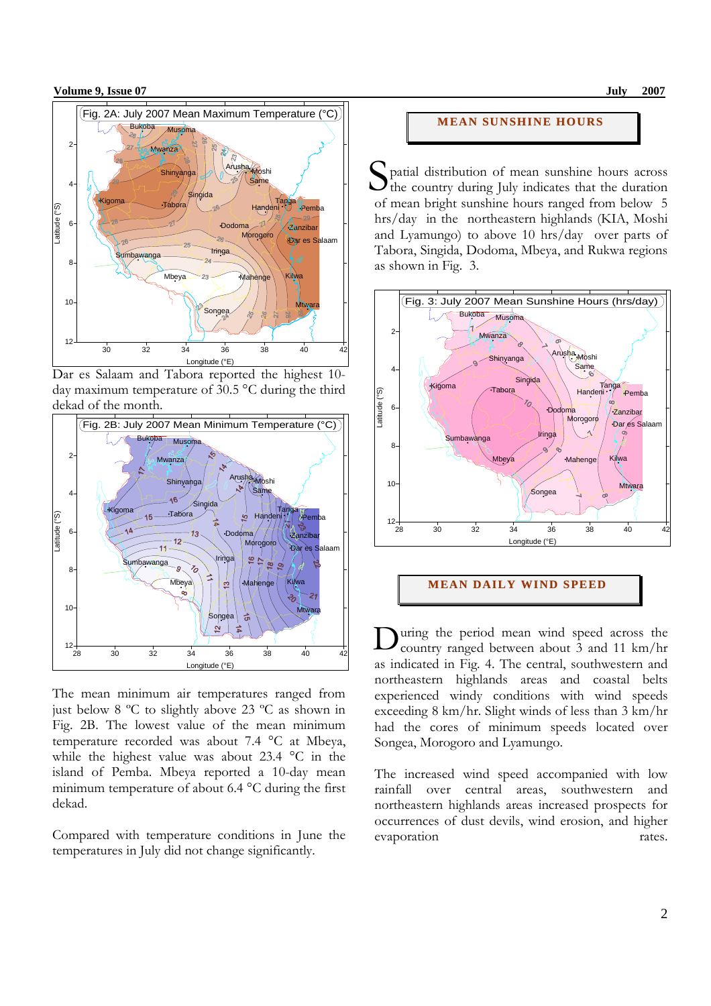#### **Volume 9, Issue 07** July 2007



Dar es Salaam and Tabora reported the highest 10 day maximum temperature of 30.5 °C during the third dekad of the month.



The mean minimum air temperatures ranged from just below 8 ºC to slightly above 23 ºC as shown in Fig. 2B. The lowest value of the mean minimum temperature recorded was about 7.4 °C at Mbeya, while the highest value was about 23.4 °C in the island of Pemba. Mbeya reported a 10-day mean minimum temperature of about 6.4 °C during the first dekad.

Compared with temperature conditions in June the temperatures in July did not change significantly.

# **MEAN SUNSHINE HOURS**

patial distribution of mean sunshine hours across the country during July indicates that the duration of mean bright sunshine hours ranged from below 5 hrs/day in the northeastern highlands (KIA, Moshi and Lyamungo) to above 10 hrs/day over parts of Tabora, Singida, Dodoma, Mbeya, and Rukwa regions as shown in Fig. 3. S



# **MEAN DAILY WI ND SPEED**

uring the period mean wind speed across the country ranged between about 3 and 11 km/hr as indicated in Fig. 4. The central, southwestern and northeastern highlands areas and coastal belts experienced windy conditions with wind speeds exceeding 8 km/hr. Slight winds of less than 3 km/hr had the cores of minimum speeds located over Songea, Morogoro and Lyamungo. D

The increased wind speed accompanied with low rainfall over central areas, southwestern and northeastern highlands areas increased prospects for occurrences of dust devils, wind erosion, and higher evaporation rates.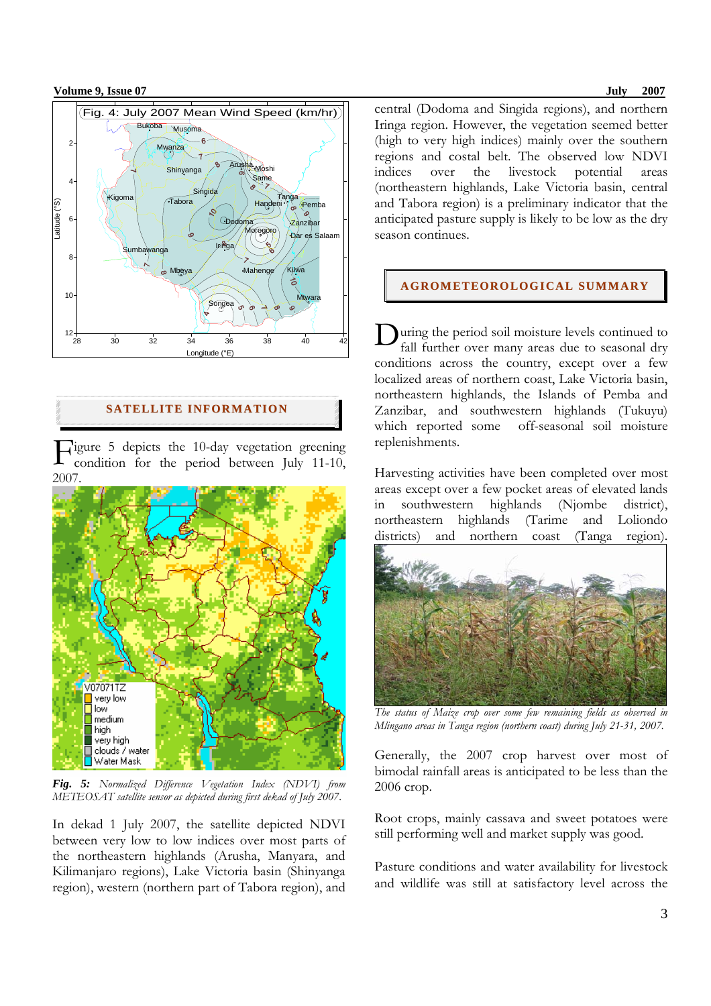



#### **SATELLITE INFORMATION**

Figure 5 depicts the 10-day vegetation greening condition for the period between July 11-10, condition for the period between July 11-10, 2007.



*Fig. 5: Normalized Difference Vegetation Index (NDVI) from METEOSAT satellite sensor as depicted during first dekad of July 2007*.

In dekad 1 July 2007, the satellite depicted NDVI between very low to low indices over most parts of the northeastern highlands (Arusha, Manyara, and Kilimanjaro regions), Lake Victoria basin (Shinyanga region), western (northern part of Tabora region), and central (Dodoma and Singida regions), and northern Iringa region. However, the vegetation seemed better (high to very high indices) mainly over the southern regions and costal belt. The observed low NDVI indices over the livestock potential areas (northeastern highlands, Lake Victoria basin, central and Tabora region) is a preliminary indicator that the anticipated pasture supply is likely to be low as the dry season continues.

#### **AGROMETEOROLOGI CAL SUMMARY**

uring the period soil moisture levels continued to fall further over many areas due to seasonal dry conditions across the country, except over a few localized areas of northern coast, Lake Victoria basin, northeastern highlands, the Islands of Pemba and Zanzibar, and southwestern highlands (Tukuyu) which reported some off-seasonal soil moisture replenishments. D

Harvesting activities have been completed over most areas except over a few pocket areas of elevated lands in southwestern highlands (Njombe district), northeastern highlands (Tarime and Loliondo districts) and northern coast (Tanga region).



*The status of Maize crop over some few remaining fields as observed in Mlingano areas in Tanga region (northern coast) during July 21-31, 2007.* 

Generally, the 2007 crop harvest over most of bimodal rainfall areas is anticipated to be less than the 2006 crop.

Root crops, mainly cassava and sweet potatoes were still performing well and market supply was good.

Pasture conditions and water availability for livestock and wildlife was still at satisfactory level across the